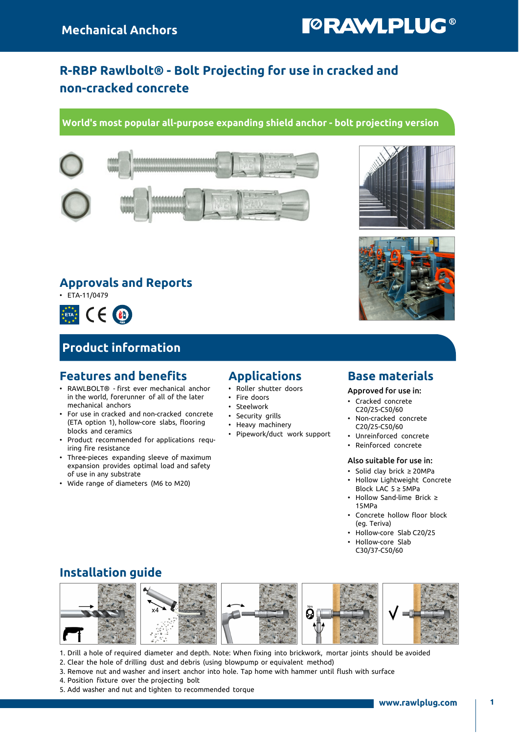# **TORAWLPLUG®**

## R-RBP Rawlbolt® - Bolt Projecting for use in cracked and non-cracked concrete

#### World's most popular all-purpose expanding shield anchor - bolt projecting version



### Approvals and Reports

 $\cdot$  ETA-11/0479



## Product information

### Features and benefits

- RAWLBOLT® first ever mechanical anchor in the world, forerunner of all of the later mechanical anchors
- For use in cracked and non-cracked concrete (ETA option 1), hollow-core slabs, flooring blocks and ceramics
- Product recommended for applications requiring fire resistance
- Three-pieces expanding sleeve of maximum expansion provides optimal load and safety of use in any substrate
- Wide range of diameters (M6 to M20)

### Applications

- Roller shutter doors
- Fire doors
- Steelwork
- Security grills
- Heavy machinery
- Pipework/duct work support

### Base materials

Approved for use in:

- Cracked concrete C20/25-C50/60
- Non-cracked concrete C20/25-C50/60
- Unreinforced concrete
- Reinforced concrete

#### Also suitable for use in:

- Solid clay brick ≥ 20MPa • Hollow Lightweight Concrete
- Block LAC 5 ≥ 5MPa
- Hollow Sand-lime Brick ≥ 15MPa
- Concrete hollow floor block (eg. Teriva)
- Hollow-core Slab C20/25
- Hollow-core Slab C30/37-C50/60

## Installation guide



1. Drill a hole of required diameter and depth. Note: When fixing into brickwork, mortar joints should be avoided

- 2. Clear the hole of drilling dust and debris (using blowpump or equivalent method)
- 3. Remove nut and washer and insert anchor into hole. Tap home with hammer until flush with surface
- 4. Position fixture over the projecting bolt
- 5. Add washer and nut and tighten to recommended torque



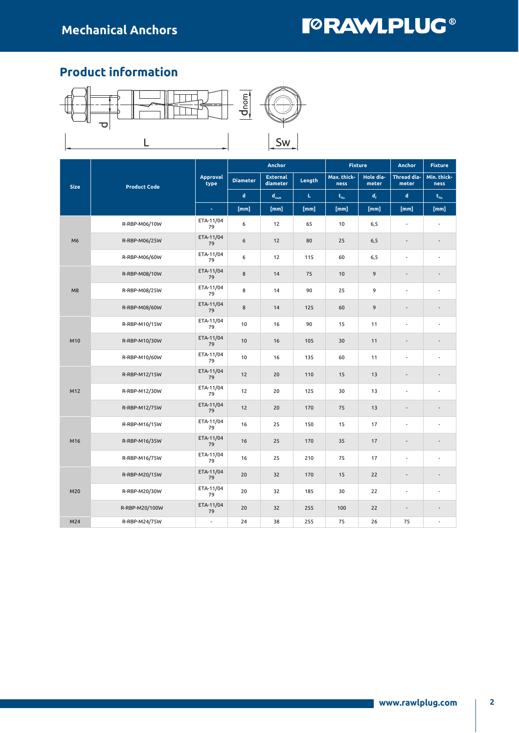## **TORAWLPLUG®**

## Product information



|                |                     |                          |                 | Anchor                      |        | <b>Fixture</b>              |                    | Anchor                   | <b>Fixture</b>      |
|----------------|---------------------|--------------------------|-----------------|-----------------------------|--------|-----------------------------|--------------------|--------------------------|---------------------|
| <b>Size</b>    | <b>Product Code</b> | <b>Approval</b><br>type  | <b>Diameter</b> | <b>External</b><br>diameter | Length | Max. thick-<br>ness         | Hole dia-<br>meter | Thread dia-<br>meter     | Min. thick-<br>ness |
|                |                     |                          | $\mathbf d$     | $d_{nom}$                   | L.     | $\mathbf{t}_{\mathrm{fix}}$ | $d_{\rm f}$        | d                        | $t_{fix}$           |
|                |                     | $\omega$                 | [mm]            | [mm]                        | [mm]   | [mm]                        | [mm]               | [mm]                     | [mm]                |
|                | R-RBP-M06/10W       | ETA-11/04<br>79          | 6               | 12                          | 65     | 10                          | 6, 5               |                          |                     |
| M <sub>6</sub> | R-RBP-M06/25W       | ETA-11/04<br>79          | 6               | 12                          | 80     | 25                          | 6, 5               |                          |                     |
|                | R-RBP-M06/60W       | ETA-11/04<br>79          | 6               | 12                          | 115    | 60                          | 6,5                | $\overline{a}$           |                     |
|                | R-RBP-M08/10W       | ETA-11/04<br>79          | $\bf 8$         | 14                          | 75     | 10                          | 9                  | $\overline{\phantom{a}}$ |                     |
| M8             | R-RBP-M08/25W       | ETA-11/04<br>79          | 8               | 14                          | 90     | 25                          | 9                  | $\overline{a}$           |                     |
|                | R-RBP-M08/60W       | ETA-11/04<br>79          | 8               | 14                          | 125    | 60                          | 9                  |                          |                     |
| R-RBP-M10/15W  |                     | ETA-11/04<br>79          | 10              | 16                          | 90     | 15                          | 11                 | $\overline{a}$           |                     |
| M10            | R-RBP-M10/30W       | ETA-11/04<br>79          | 10              | 16                          | 105    | 30                          | 11                 | ۰                        |                     |
|                | R-RBP-M10/60W       | ETA-11/04<br>79          | 10              | 16                          | 135    | 60                          | 11                 | $\overline{a}$           |                     |
|                | R-RBP-M12/15W       | ETA-11/04<br>79          | 12              | 20                          | 110    | 15                          | 13                 | $\overline{\phantom{a}}$ |                     |
| M12            | R-RBP-M12/30W       | ETA-11/04<br>79          | 12              | 20                          | 125    | 30                          | 13                 | $\overline{a}$           |                     |
|                | R-RBP-M12/75W       | ETA-11/04<br>79          | 12              | 20                          | 170    | 75                          | 13                 | $\overline{\phantom{a}}$ |                     |
|                | R-RBP-M16/15W       | ETA-11/04<br>79          | 16              | 25                          | 150    | 15                          | 17                 | $\overline{a}$           |                     |
| M16            | R-RBP-M16/35W       | ETA-11/04<br>79          | 16              | 25                          | 170    | 35                          | 17                 | $\overline{\phantom{a}}$ |                     |
|                | R-RBP-M16/75W       | ETA-11/04<br>79          | 16              | 25                          | 210    | 75                          | 17                 | $\sim$                   |                     |
|                | R-RBP-M20/15W       | ETA-11/04<br>79          | 20              | 32                          | 170    | 15                          | 22                 |                          |                     |
| M20            | R-RBP-M20/30W       | ETA-11/04<br>79          | 20              | 32                          | 185    | 30                          | 22                 | $\overline{\phantom{a}}$ |                     |
|                | R-RBP-M20/100W      | ETA-11/04<br>79          | 20              | 32                          | 255    | 100                         | 22                 | $\overline{\phantom{a}}$ |                     |
| M24            | R-RBP-M24/75W       | $\overline{\phantom{a}}$ | 24              | 38                          | 255    | 75                          | 26                 | 75                       | $\overline{a}$      |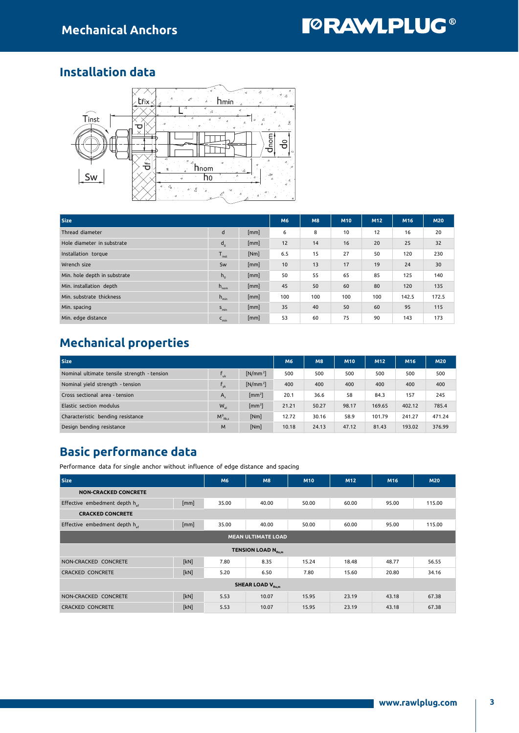### Installation data



| <b>Size</b>                  | M6               | <b>M8</b> | M <sub>10</sub> | M <sub>12</sub> | M16 | <b>M20</b> |       |       |
|------------------------------|------------------|-----------|-----------------|-----------------|-----|------------|-------|-------|
| Thread diameter              | d                | [mm]      | 6               | 8               | 10  | 12         | 16    | 20    |
| Hole diameter in substrate   | $d_{o}$          | [mm]      | 12              | 14              | 16  | 20         | 25    | 32    |
| Installation torque          | $T_{inst}$       | [Nm]      | 6.5             | 15              | 27  | 50         | 120   | 230   |
| Wrench size                  | Sw               | [mm]      | 10              | 13              | 17  | 19         | 24    | 30    |
| Min. hole depth in substrate | $h_{0}$          | [mm]      | 50              | 55              | 65  | 85         | 125   | 140   |
| Min. installation depth      | $h_{\text{nom}}$ | [mm]      | 45              | 50              | 60  | 80         | 120   | 135   |
| Min. substrate thickness     | $h_{\min}$       | [mm]      | 100             | 100             | 100 | 100        | 142.5 | 172.5 |
| Min. spacing                 | $S_{\min}$       | [mm]      | 35              | 40              | 50  | 60         | 95    | 115   |
| Min. edge distance           | $C_{\text{min}}$ | [mm]      | 53              | 60              | 75  | 90         | 143   | 173   |

## Mechanical properties

| <b>Size</b>                                 | M6             | M8                         | M10   | M12   | M16   | <b>M20</b> |        |        |
|---------------------------------------------|----------------|----------------------------|-------|-------|-------|------------|--------|--------|
| Nominal ultimate tensile strength - tension | $f_{\rm{nk}}$  | $[N/mm^2]$                 | 500   | 500   | 500   | 500        | 500    | 500    |
| Nominal yield strength - tension            | $\mathbf{v}$   | $[N/mm^2]$                 | 400   | 400   | 400   | 400        | 400    | 400    |
| Cross sectional area - tension              | $A_{\epsilon}$ | $\left[\text{mm}^2\right]$ | 20.1  | 36.6  | 58    | 84.3       | 157    | 245    |
| Elastic section modulus                     | $W_{el}$       | $\left[\text{mm}^3\right]$ | 21.21 | 50.27 | 98.17 | 169.65     | 402.12 | 785.4  |
| Characteristic bending resistance           | $M_{Rks}^0$    | [Nm]                       | 12.72 | 30.16 | 58.9  | 101.79     | 241.27 | 471.24 |
| Design bending resistance                   | M              | [Nm]                       | 10.18 | 24.13 | 47.12 | 81.43      | 193.02 | 376.99 |

### Basic performance data

Performance data for single anchor without influence of edge distance and spacing

| <b>Size</b>                               |      | M <sub>6</sub> | <b>M8</b>                      | M10   | M <sub>12</sub> | M16   | <b>M20</b> |  |  |  |
|-------------------------------------------|------|----------------|--------------------------------|-------|-----------------|-------|------------|--|--|--|
| <b>NON-CRACKED CONCRETE</b>               |      |                |                                |       |                 |       |            |  |  |  |
| Effective embedment depth h <sub>ee</sub> | [mm] | 35.00          | 40.00                          | 50.00 | 60.00           | 95.00 | 115.00     |  |  |  |
| <b>CRACKED CONCRETE</b>                   |      |                |                                |       |                 |       |            |  |  |  |
| Effective embedment depth h <sub>ef</sub> | [mm] | 35.00          | 40.00                          | 50.00 | 60.00           | 95.00 | 115.00     |  |  |  |
| <b>MEAN ULTIMATE LOAD</b>                 |      |                |                                |       |                 |       |            |  |  |  |
|                                           |      |                | TENSION LOAD N <sub>Ru,m</sub> |       |                 |       |            |  |  |  |
| NON-CRACKED CONCRETE                      | [kN] | 7.80           | 8.35                           | 15.24 | 18.48           | 48.77 | 56.55      |  |  |  |
| <b>CRACKED CONCRETE</b>                   | [kN] | 5.20           | 6.50                           | 7.80  | 15.60           | 20.80 | 34.16      |  |  |  |
| <b>SHEAR LOAD V<sub>Ru,m</sub></b>        |      |                |                                |       |                 |       |            |  |  |  |
| NON-CRACKED CONCRETE                      | [kN] | 5.53           | 10.07                          | 15.95 | 23.19           | 43.18 | 67.38      |  |  |  |
| <b>CRACKED CONCRETE</b>                   | [kN] | 5.53           | 10.07                          | 15.95 | 23.19           | 43.18 | 67.38      |  |  |  |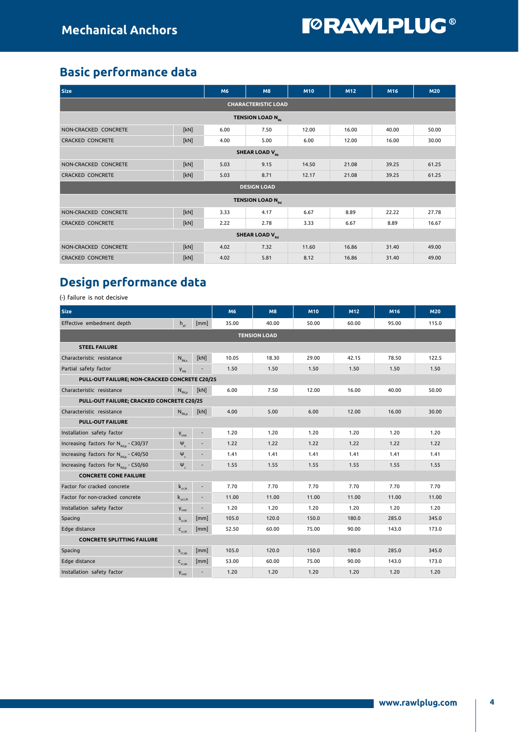## Basic performance data

| <b>Size</b>                      |                                  | M6   | M8                                  | <b>M10</b> | M <sub>12</sub> | M16   | <b>M20</b> |  |  |  |
|----------------------------------|----------------------------------|------|-------------------------------------|------------|-----------------|-------|------------|--|--|--|
| <b>CHARACTERISTIC LOAD</b>       |                                  |      |                                     |            |                 |       |            |  |  |  |
| TENSION LOAD N <sub>pk</sub>     |                                  |      |                                     |            |                 |       |            |  |  |  |
| NON-CRACKED CONCRETE             | [kN]                             | 6.00 | 7.50                                | 12.00      | 16.00           | 40.00 | 50.00      |  |  |  |
| <b>CRACKED CONCRETE</b>          | [kN]                             | 4.00 | 5.00                                | 6.00       | 12.00           | 16.00 | 30.00      |  |  |  |
| <b>SHEAR LOAD V<sub>pk</sub></b> |                                  |      |                                     |            |                 |       |            |  |  |  |
| NON-CRACKED CONCRETE             | [kN]                             | 5.03 | 9.15                                | 14.50      | 21.08           | 39.25 | 61.25      |  |  |  |
| <b>CRACKED CONCRETE</b>          | [kN]                             | 5.03 | 8.71                                | 12.17      | 21.08           | 39.25 | 61.25      |  |  |  |
|                                  |                                  |      | <b>DESIGN LOAD</b>                  |            |                 |       |            |  |  |  |
|                                  |                                  |      | <b>TENSION LOAD N</b> <sub>pd</sub> |            |                 |       |            |  |  |  |
| NON-CRACKED CONCRETE             | [kN]                             | 3.33 | 4.17                                | 6.67       | 8.89            | 22.22 | 27.78      |  |  |  |
| <b>CRACKED CONCRETE</b>          | [kN]                             | 2.22 | 2.78                                | 3.33       | 6.67            | 8.89  | 16.67      |  |  |  |
|                                  | <b>SHEAR LOAD V<sub>Rd</sub></b> |      |                                     |            |                 |       |            |  |  |  |
| NON-CRACKED CONCRETE             | [kN]                             | 4.02 | 7.32                                | 11.60      | 16.86           | 31.40 | 49.00      |  |  |  |
| <b>CRACKED CONCRETE</b>          | [kN]                             | 4.02 | 5.81                                | 8.12       | 16.86           | 31.40 | 49.00      |  |  |  |

## Design performance data

(-) failure is not decisive

| <b>Size</b>                                       |                    |                          | M6    | M8    | M10   | M12   | M16   | <b>M20</b> |  |  |
|---------------------------------------------------|--------------------|--------------------------|-------|-------|-------|-------|-------|------------|--|--|
| Effective embedment depth                         | $h_{\alpha}$       | [mm]                     | 35.00 | 40.00 | 50.00 | 60.00 | 95.00 | 115.0      |  |  |
| <b>TENSION LOAD</b>                               |                    |                          |       |       |       |       |       |            |  |  |
| <b>STEEL FAILURE</b>                              |                    |                          |       |       |       |       |       |            |  |  |
| Characteristic resistance                         | $N_{Rk s}$         | [kN]                     | 10.05 | 18.30 | 29.00 | 42.15 | 78.50 | 122.5      |  |  |
| Partial safety factor                             | $V_{M5}$           |                          | 1.50  | 1.50  | 1.50  | 1.50  | 1.50  | 1.50       |  |  |
| PULL-OUT FAILURE; NON-CRACKED CONCRETE C20/25     |                    |                          |       |       |       |       |       |            |  |  |
| Characteristic resistance                         | $N_{Rk,p}$         | [kN]                     | 6.00  | 7.50  | 12.00 | 16.00 | 40.00 | 50.00      |  |  |
| PULL-OUT FAILURE; CRACKED CONCRETE C20/25         |                    |                          |       |       |       |       |       |            |  |  |
| Characteristic resistance                         | $N_{Rk,p}$         | [kN]                     | 4.00  | 5.00  | 6.00  | 12.00 | 16.00 | 30.00      |  |  |
| <b>PULL-OUT FAILURE</b>                           |                    |                          |       |       |       |       |       |            |  |  |
| Installation safety factor                        | $Y_{inst}$         | ÷.                       | 1.20  | 1.20  | 1.20  | 1.20  | 1.20  | 1.20       |  |  |
| Increasing factors for $N_{\text{rot}}$ - C30/37  | $\Psi_c$           | ÷                        | 1.22  | 1.22  | 1.22  | 1.22  | 1.22  | 1.22       |  |  |
| Increasing factors for N <sub>Rd.p</sub> - C40/50 | $\Psi_c$           |                          | 1.41  | 1.41  | 1.41  | 1.41  | 1.41  | 1.41       |  |  |
| Increasing factors for N <sub>Rdp</sub> - C50/60  | $\Psi_c$           |                          | 1.55  | 1.55  | 1.55  | 1.55  | 1.55  | 1.55       |  |  |
| <b>CONCRETE CONE FAILURE</b>                      |                    |                          |       |       |       |       |       |            |  |  |
| Factor for cracked concrete                       | $k_{\text{cr.N}}$  |                          | 7.70  | 7.70  | 7.70  | 7.70  | 7.70  | 7.70       |  |  |
| Factor for non-cracked concrete                   | $k_{\text{ucr,N}}$ |                          | 11.00 | 11.00 | 11.00 | 11.00 | 11.00 | 11.00      |  |  |
| Installation safety factor                        | $V_{inst}$         | $\overline{\phantom{a}}$ | 1.20  | 1.20  | 1.20  | 1.20  | 1.20  | 1.20       |  |  |
| Spacing                                           | $S_{cr,N}$         | [mm]                     | 105.0 | 120.0 | 150.0 | 180.0 | 285.0 | 345.0      |  |  |
| Edge distance                                     | $C_{cr,N}$         | [mm]                     | 52.50 | 60.00 | 75.00 | 90.00 | 143.0 | 173.0      |  |  |
| <b>CONCRETE SPLITTING FAILURE</b>                 |                    |                          |       |       |       |       |       |            |  |  |
| Spacing                                           | $S_{cr,SD}$        | [mm]                     | 105.0 | 120.0 | 150.0 | 180.0 | 285.0 | 345.0      |  |  |
| Edge distance                                     | $C_{cr,sp}$        | [mm]                     | 53.00 | 60.00 | 75.00 | 90.00 | 143.0 | 173.0      |  |  |
| Installation safety factor                        | $V_{inst}$         |                          | 1.20  | 1.20  | 1.20  | 1.20  | 1.20  | 1.20       |  |  |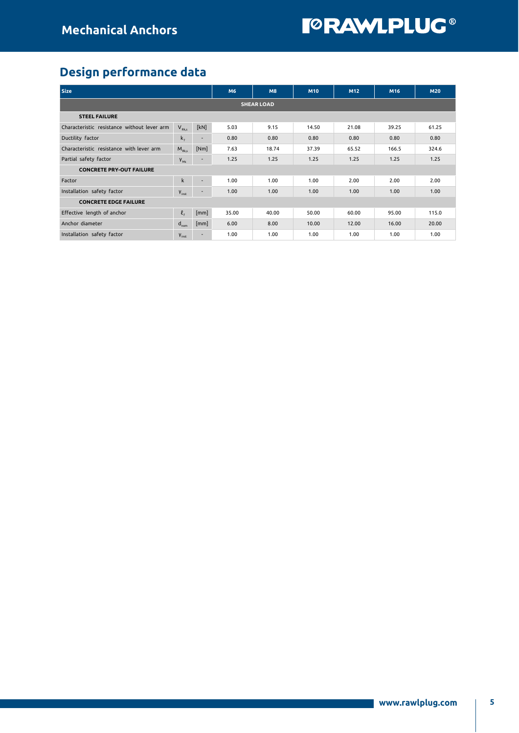## Design performance data

| <b>Size</b>                                 | M6                               | <b>M8</b> | M10   | M12   | M16   | <b>M20</b> |       |       |  |  |
|---------------------------------------------|----------------------------------|-----------|-------|-------|-------|------------|-------|-------|--|--|
| <b>SHEAR LOAD</b>                           |                                  |           |       |       |       |            |       |       |  |  |
| <b>STEEL FAILURE</b>                        |                                  |           |       |       |       |            |       |       |  |  |
| Characteristic resistance without lever arm | $V_{Rk,s}$                       | [kN]      | 5.03  | 9.15  | 14.50 | 21.08      | 39.25 | 61.25 |  |  |
| Ductility factor                            | $k_{7}$                          | ۰         | 0.80  | 0.80  | 0.80  | 0.80       | 0.80  | 0.80  |  |  |
| Characteristic resistance with lever arm    | $M_{Rk s}$                       | [Nm]      | 7.63  | 18.74 | 37.39 | 65.52      | 166.5 | 324.6 |  |  |
| Partial safety factor                       | $V_{M5}$                         |           | 1.25  | 1.25  | 1.25  | 1.25       | 1.25  | 1.25  |  |  |
| <b>CONCRETE PRY-OUT FAILURE</b>             |                                  |           |       |       |       |            |       |       |  |  |
| Factor                                      | $\mathsf{k}$                     | ۰         | 1.00  | 1.00  | 1.00  | 2.00       | 2.00  | 2.00  |  |  |
| Installation safety factor                  | $Y_{inst}$                       | ۰.        | 1.00  | 1.00  | 1.00  | 1.00       | 1.00  | 1.00  |  |  |
| <b>CONCRETE EDGE FAILURE</b>                |                                  |           |       |       |       |            |       |       |  |  |
| Effective length of anchor                  | $\ell_{\scriptscriptstyle\rm F}$ | [mm]      | 35.00 | 40.00 | 50.00 | 60.00      | 95.00 | 115.0 |  |  |
| Anchor diameter                             | $d_{nom}$                        | [mm]      | 6.00  | 8.00  | 10.00 | 12.00      | 16.00 | 20.00 |  |  |
| Installation safety factor                  | $V_{inst}$                       |           | 1.00  | 1.00  | 1.00  | 1.00       | 1.00  | 1.00  |  |  |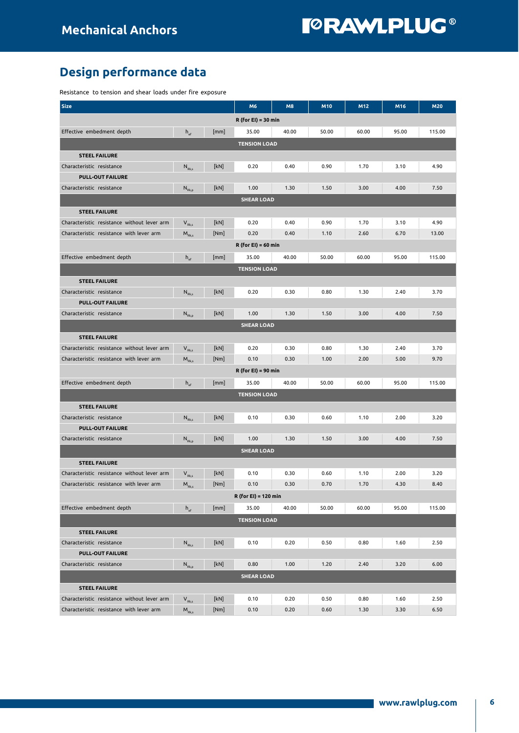## Design performance data

Resistance to tension and shear loads under fire exposure

| <b>Size</b>                                 |                                                         |      | M6                    | <b>M8</b> | M10   | M12   | M16   | <b>M20</b> |  |  |
|---------------------------------------------|---------------------------------------------------------|------|-----------------------|-----------|-------|-------|-------|------------|--|--|
| $R$ (for EI) = 30 min                       |                                                         |      |                       |           |       |       |       |            |  |  |
| Effective embedment depth                   | $h_{\text{ef}}$                                         | [mm] | 35.00                 | 40.00     | 50.00 | 60.00 | 95.00 | 115.00     |  |  |
|                                             |                                                         |      | <b>TENSION LOAD</b>   |           |       |       |       |            |  |  |
| <b>STEEL FAILURE</b>                        |                                                         |      |                       |           |       |       |       |            |  |  |
| Characteristic resistance                   | $\mathsf{N}_{\textrm{\tiny{Rk}},\textrm{s}}$            | [kN] | 0.20                  | 0.40      | 0.90  | 1.70  | 3.10  | 4.90       |  |  |
| <b>PULL-OUT FAILURE</b>                     |                                                         |      |                       |           |       |       |       |            |  |  |
| Characteristic resistance                   | $N_{Rk,0}$                                              | [kN] | 1.00                  | 1.30      | 1.50  | 3.00  | 4.00  | 7.50       |  |  |
|                                             |                                                         |      | <b>SHEAR LOAD</b>     |           |       |       |       |            |  |  |
| <b>STEEL FAILURE</b>                        |                                                         |      |                       |           |       |       |       |            |  |  |
| Characteristic resistance without lever arm | $V_{Rk,s}$                                              | [kN] | 0.20                  | 0.40      | 0.90  | 1.70  | 3.10  | 4.90       |  |  |
| Characteristic resistance with lever arm    | $M_{Rk,s}$                                              | [Nm] | 0.20                  | 0.40      | 1.10  | 2.60  | 6.70  | 13.00      |  |  |
|                                             |                                                         |      | $R$ (for EI) = 60 min |           |       |       |       |            |  |  |
| Effective embedment depth                   | $h_{\text{ef}}$                                         | [mm] | 35.00                 | 40.00     | 50.00 | 60.00 | 95.00 | 115.00     |  |  |
|                                             |                                                         |      | <b>TENSION LOAD</b>   |           |       |       |       |            |  |  |
| <b>STEEL FAILURE</b>                        |                                                         |      |                       |           |       |       |       |            |  |  |
| Characteristic resistance                   | $N_{Rk,s}$                                              | [kN] | 0.20                  | 0.30      | 0.80  | 1.30  | 2.40  | 3.70       |  |  |
| <b>PULL-OUT FAILURE</b>                     |                                                         |      |                       |           |       |       |       |            |  |  |
| Characteristic resistance                   | $N_{Rk,0}$                                              | [kN] | 1.00                  | 1.30      | 1.50  | 3.00  | 4.00  | 7.50       |  |  |
|                                             |                                                         |      | <b>SHEAR LOAD</b>     |           |       |       |       |            |  |  |
| <b>STEEL FAILURE</b>                        |                                                         |      |                       |           |       |       |       |            |  |  |
| Characteristic resistance without lever arm |                                                         | [kN] | 0.20                  | 0.30      | 0.80  | 1.30  | 2.40  | 3.70       |  |  |
| Characteristic resistance with lever arm    | $V_{Rk,s}$<br>$\mathsf{M}_{\textrm{Rk},\textrm{s}}$     | [Nm] | 0.10                  | 0.30      | 1.00  | 2.00  | 5.00  | 9.70       |  |  |
|                                             |                                                         |      |                       |           |       |       |       |            |  |  |
|                                             |                                                         |      | $R$ (for EI) = 90 min |           |       |       |       |            |  |  |
| Effective embedment depth                   | $h_{\text{ef}}$                                         | [mm] | 35.00                 | 40.00     | 50.00 | 60.00 | 95.00 | 115.00     |  |  |
|                                             |                                                         |      | <b>TENSION LOAD</b>   |           |       |       |       |            |  |  |
| <b>STEEL FAILURE</b>                        |                                                         |      |                       |           |       |       |       |            |  |  |
| Characteristic resistance                   | $N_{Rk,s}$                                              | [kN] | 0.10                  | 0.30      | 0.60  | 1.10  | 2.00  | 3.20       |  |  |
| <b>PULL-OUT FAILURE</b>                     |                                                         |      |                       |           |       |       |       |            |  |  |
| Characteristic resistance                   | $N_{\rm Rk,p}$                                          | [kN] | 1.00                  | 1.30      | 1.50  | 3.00  | 4.00  | 7.50       |  |  |
|                                             |                                                         |      | <b>SHEAR LOAD</b>     |           |       |       |       |            |  |  |
| <b>STEEL FAILURE</b>                        |                                                         |      |                       |           |       |       |       |            |  |  |
| Characteristic resistance without lever arm | $V_{Rk,s}$                                              | [kN] | 0.10                  | 0.30      | 0.60  | 1.10  | 2.00  | 3.20       |  |  |
| Characteristic resistance with lever arm    | $M_{Rk,s}$                                              | [Nm] | 0.10                  | 0.30      | 0.70  | 1.70  | 4.30  | 8.40       |  |  |
|                                             |                                                         |      | R (for EI) = 120 min  |           |       |       |       |            |  |  |
| Effective embedment depth                   | $h_{\text{ef}}$                                         | [mm] | 35.00                 | 40.00     | 50.00 | 60.00 | 95.00 | 115.00     |  |  |
|                                             |                                                         |      | <b>TENSION LOAD</b>   |           |       |       |       |            |  |  |
| <b>STEEL FAILURE</b>                        |                                                         |      |                       |           |       |       |       |            |  |  |
| Characteristic resistance                   | $\mathsf{N}_{\scriptscriptstyle\mathrm{Rk},\mathsf{s}}$ | [kN] | 0.10                  | 0.20      | 0.50  | 0.80  | 1.60  | 2.50       |  |  |
| <b>PULL-OUT FAILURE</b>                     |                                                         |      |                       |           |       |       |       |            |  |  |
| Characteristic resistance                   | $N_{Rk,p}$                                              | [kN] | 0.80                  | 1.00      | 1.20  | 2.40  | 3.20  | 6.00       |  |  |
|                                             |                                                         |      | <b>SHEAR LOAD</b>     |           |       |       |       |            |  |  |
| <b>STEEL FAILURE</b>                        |                                                         |      |                       |           |       |       |       |            |  |  |
| Characteristic resistance without lever arm | $V_{Rk,s}$                                              | [kN] | 0.10                  | 0.20      | 0.50  | 0.80  | 1.60  | 2.50       |  |  |
| Characteristic resistance with lever arm    | $\mathsf{M}_{\textrm{Rk},\mathsf{s}}$                   | [Nm] | 0.10                  | 0.20      | 0.60  | 1.30  | 3.30  | 6.50       |  |  |